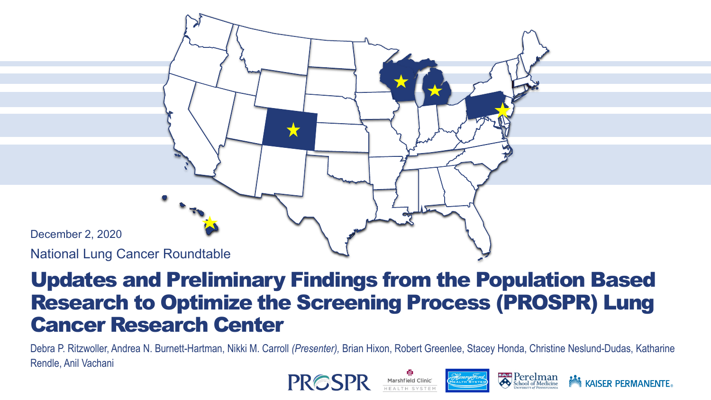

## Updates and Preliminary Findings from the Population Based Research to Optimize the Screening Process (PROSPR) Lung Cancer Research Center

Debra P. Ritzwoller, Andrea N. Burnett-Hartman, Nikki M. Carroll *(Presenter),* Brian Hixon, Robert Greenlee, Stacey Honda, Christine Neslund-Dudas, Katharine Rendle, Anil Vachani



**NOW KAISER PERMANENTE.**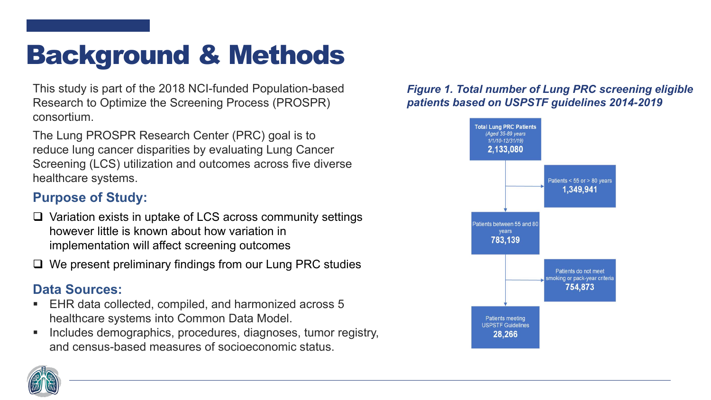# Background & Methods

This study is part of the 2018 NCI-funded Population-based Research to Optimize the Screening Process (PROSPR) consortium.

The Lung PROSPR Research Center (PRC) goal is to reduce lung cancer disparities by evaluating Lung Cancer Screening (LCS) utilization and outcomes across five diverse healthcare systems.

### **Purpose of Study:**

- $\Box$  Variation exists in uptake of LCS across community settings however little is known about how variation in implementation will affect screening outcomes
- $\Box$  We present preliminary findings from our Lung PRC studies

### **Data Sources:**

- EHR data collected, compiled, and harmonized across 5 healthcare systems into Common Data Model.
- Includes demographics, procedures, diagnoses, tumor registry, and census-based measures of socioeconomic status.

### *Figure 1. Total number of Lung PRC screening eligible patients based on USPSTF guidelines 2014-2019*



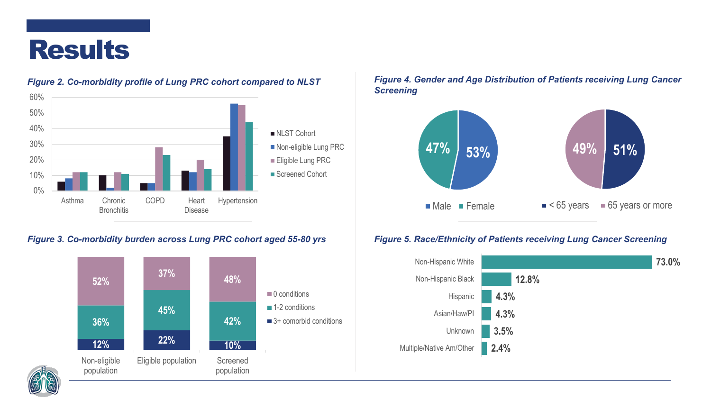



#### *Figure 2. Co-morbidity profile of Lung PRC cohort compared to NLST*

#### *Figure 3. Co-morbidity burden across Lung PRC cohort aged 55-80 yrs*



#### *Figure 4. Gender and Age Distribution of Patients receiving Lung Cancer Screening*



#### *Figure 5. Race/Ethnicity of Patients receiving Lung Cancer Screening*



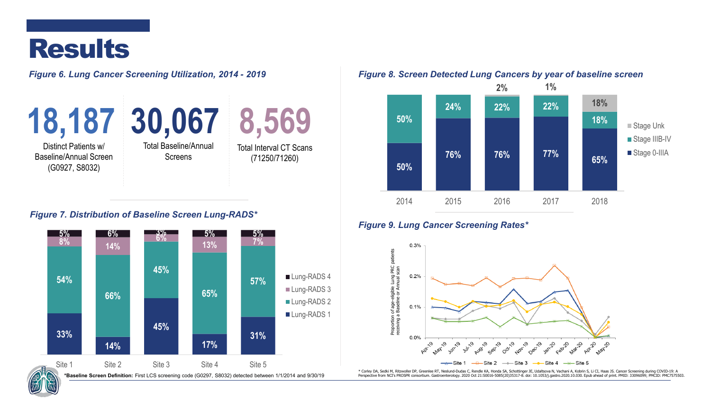## Results

*Figure 6. Lung Cancer Screening Utilization, 2014 - 2019*

Distinct Patients w/ Baseline/Annual Screen (G0927, S8032)





Total Interval CT Scans (71250/71260)

#### *Figure 7. Distribution of Baseline Screen Lung-RADS\**



#### *Figure 8. Screen Detected Lung Cancers by year of baseline screen*



#### *Figure 9. Lung Cancer Screening Rates\**



\* Corley DA, Sedki M, Ritzwoller DP, Greenlee RT, Neslund-Dudas C, Rendle KA, Honda SA, Schottinger JE, Udaltsova N, Vachani A, Kobrin S, Li CI, Haas JS. Cancer Screening during COVID-19: A \*Baseline Screen Definition: First LCS screening code (G0297, S8032) detected between 1/1/2014 and 9/30/19 Perspective from NCI's PROSPR consortium. Gastroenterology. 2020 Oct 21:50016-5085(20)35317-8. doi: 10.1053/j.gastr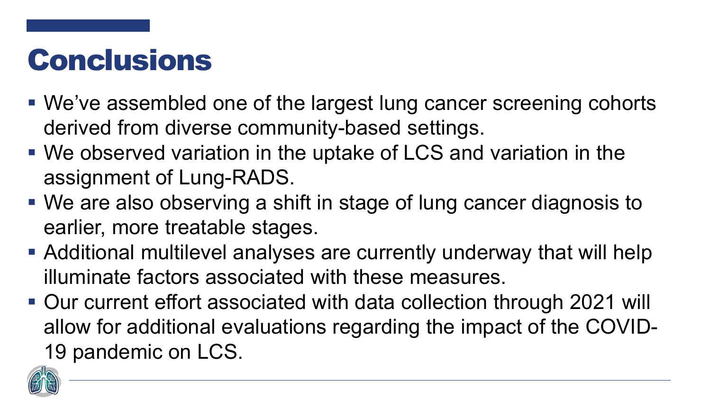# **Conclusions**

- We've assembled one of the largest lung cancer screening cohorts derived from diverse community-based settings.
- We observed variation in the uptake of LCS and variation in the assignment of Lung-RADS.
- We are also observing a shift in stage of lung cancer diagnosis to earlier, more treatable stages.
- Additional multilevel analyses are currently underway that will help illuminate factors associated with these measures.
- Our current effort associated with data collection through 2021 will allow for additional evaluations regarding the impact of the COVID-19 pandemic on LCS.